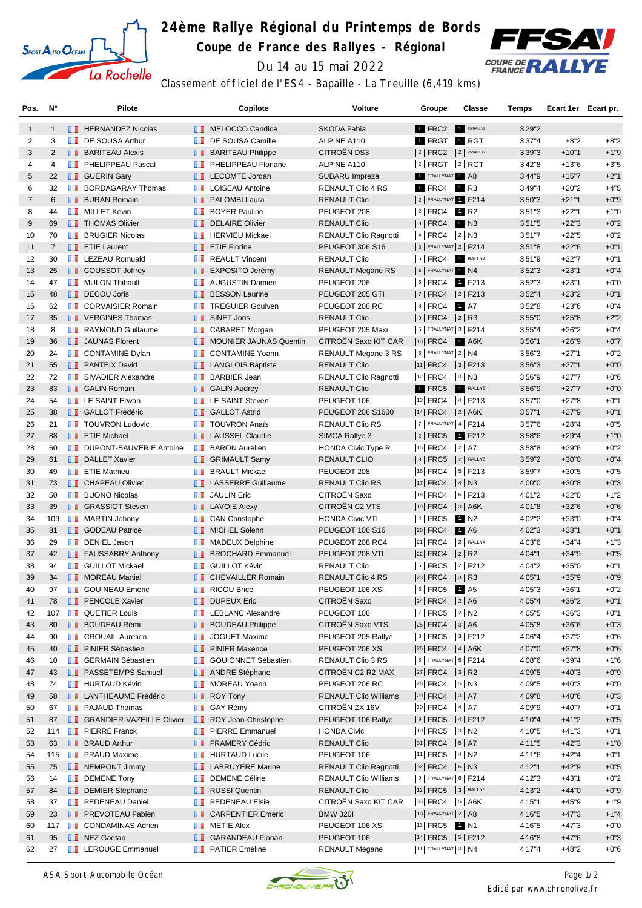

## **24ème Rallye Régional du Printemps de Bords**

**Coupe de France des Rallyes - Régional**



Du 14 au 15 mai 2022

Classement officiel de l'ES4 - Bapaille - La Treuille (6,419 kms)

| Pos.           | N°             |     | Pilote                             |            | Copilote                      | <b>Voiture</b>               | Groupe                       | Classe               | Temps   | Ecart 1er Ecart pr. |        |
|----------------|----------------|-----|------------------------------------|------------|-------------------------------|------------------------------|------------------------------|----------------------|---------|---------------------|--------|
| $\mathbf{1}$   | $\mathbf{1}$   |     | <b>FERNANDEZ Nicolas</b>           |            | <b>NELOCCO Candice</b>        | <b>SKODA Fabia</b>           | 1 FRC2                       | R5/RALLY2            | 3'29"2  |                     |        |
| 2              | 3              |     | DE SOUSA Arthur                    |            | DE SOUSA Camille              | ALPINE A110                  | 1 FRGT                       | 1 RGT                | 3'37''4 | $+8"2$              | $+8"2$ |
| 3              | 2              |     | <b>BARITEAU Alexis</b>             | ш          | <b>BARITEAU Philippe</b>      | <b>CITROEN DS3</b>           | 2   FRC2   2   R5/RALLY2     |                      | 3'39"3  | $+10"1$             | $+1"9$ |
| 4              | 4              | ш   | PHELIPPEAU Pascal                  | w          | PHELIPPEAU Floriane           | <b>ALPINE A110</b>           | 2   FRGT  2   RGT            |                      | 3'42"8  | $+13"6$             | $+3"5$ |
| 5              | 22             |     | <b>B</b> GUERIN Gary               |            | <b>EXECOMTE Jordan</b>        | SUBARU Impreza               | 1 FRALLYNAT 1 A8             |                      | 3'44''9 | $+15"7$             | $+2"1$ |
| 6              | 32             | n a | <b>BORDAGARAY Thomas</b>           | . .        | <b>LOISEAU Antoine</b>        | RENAULT Clio 4 RS            | 1 FRC4                       | 1 R3                 | 3'49''4 | $+20"2$             | $+4"5$ |
| $\overline{7}$ | 6              |     | <b>BURAN Romain</b>                |            | <b>PALOMBI Laura</b>          | <b>RENAULT Clio</b>          | 2 FRALLYNAT 1 F214           |                      | 3'50''3 | $+21"1$             | $+0"9$ |
| 8              | 44             |     | <b>NILLET Kévin</b>                | п.         | <b>BOYER Pauline</b>          | PEUGEOT 208                  | 2   FRC4                     | 1 R <sub>2</sub>     | 3'51''3 | $+22"1$             | $+1"0$ |
| 9              | 69             |     | <b>THOMAS Olivier</b>              | ш.         | <b>DELAIRE Olivier</b>        | <b>RENAULT Clio</b>          | $ 3 $ FRC4                   | 1 N3                 | 3'51''5 | $+22"3$             | $+0"2$ |
| 10             | 70             | ш   | <b>BRUGIER Nicolas</b>             |            | <b>HERVIEU Mickael</b>        | <b>RENAULT Clio Ragnotti</b> | 4   FRC4                     | $ 2 $ N3             | 3'51"7  | $+22"5$             | $+0"2$ |
| 11             | $\overline{7}$ |     | <b>Example T</b> ETIE Laurent      |            | <b>Example 7</b> ETIE Florine | PEUGEOT 306 S16              | $3$ FRALLYNAT $2$ F214       |                      | 3'51''8 | $+22"6$             | $+0"1$ |
| 12             | 30             |     | <b>EXECUED FROM LEZEAU Romuald</b> |            | <b>REAULT Vincent</b>         | <b>RENAULT Clio</b>          | 5   FRC4                     | RALLY4               | 3'51"9  | $+22"7$             | $+0"1$ |
| 13             | 25             |     | COUSSOT Joffrey                    |            | <b>EXPOSITO Jérémy</b>        | <b>RENAULT Megane RS</b>     | 4 FRALLYNAT 1 N4             |                      | 3'52''3 | $+23"1$             | $+0"4$ |
| 14             | 47             |     | <b>NULON Thibault</b>              | п.         | <b>AUGUSTIN Damien</b>        | PEUGEOT 206                  | 6   FRC4                     | 1 F213               | 3'52''3 | $+23"1$             | $+0"0$ |
| 15             | 48             |     | DECOU Joris                        |            | <b>BESSON Laurine</b>         | PEUGEOT 205 GTI              | 7   FRC4   2   F213          |                      | 3'52''4 | $+23"2$             | $+0"1$ |
| 16             | 62             |     | <b>CORVAISIER Romain</b>           | u v        | <b>TREGUIER Goulven</b>       | PEUGEOT 206 RC               | $ 8 $ FRC4                   | 1 A7                 | 3'52''8 | $+23"6$             | $+0"4$ |
| 17             | 35             |     | <b>T</b> VERGINES Thomas           |            | <b>B</b> SINET Joris          | <b>RENAULT Clio</b>          | $ 9 $ FRC4 $ 2 $ R3          |                      | 3'55"0  | $+25"8$             | $+2"2$ |
| 18             | 8              | ш   | <b>RAYMOND Guillaume</b>           | <b>II</b>  | <b>CABARET Morgan</b>         | PEUGEOT 205 Maxi             | 5   FRALLYNAT 3   F214       |                      | 3'55''4 | $+26"2$             | $+0"4$ |
| 19             | 36             |     | JAUNAS Florent                     |            | <b>NOUNIER JAUNAS Quentin</b> | CITROËN Saxo KIT CAR         | 10 FRC4 1 A6K                |                      | 3'56''1 | $+26"9$             | $+0"7$ |
| 20             | 24             |     | CONTAMINE Dylan                    | ш          | <b>CONTAMINE Yoann</b>        | RENAULT Megane 3 RS          | $6$ FRALLYNAT 2 N4           |                      | 3'56"3  | $+27"1$             | $+0"2$ |
| 21             | 55             |     | <b>FRANTEIX David</b>              | ш          | <b>LANGLOIS Baptiste</b>      | <b>RENAULT Clio</b>          | $ 11 $ FRC4 $ 3 $ F213       |                      | 3'56"3  | $+27"1$             | $+0"0$ |
| 22             | 72             | ш   | SIVADIER Alexandre                 | п.         | <b>BARBIER Jean</b>           | <b>RENAULT Clio Ragnotti</b> | $ 12 $ FRC4                  | $ 3 $ N3             | 3'56"9  | $+27"7$             | $+0"6$ |
| 23             | 83             |     | <b>B</b> GALIN Romain              | . .        | <b>GALIN Audrey</b>           | <b>RENAULT Clio</b>          | 1 FRC5                       | RALLY5               | 3'56"9  | $+27"7$             | $+0"0$ |
| 24             | 54             | ш   | LE SAINT Erwan                     | ш          | <b>LE SAINT Steven</b>        | PEUGEOT 106                  | $ 13 $ FRC4                  | $ 4 $ F213           | 3'57"0  | $+27"8$             | $+0"1$ |
| 25             | 38             |     | <b>B</b> GALLOT Frédéric           |            | <b>B</b> GALLOT Astrid        | PEUGEOT 206 S1600            | $ 14 $ FRC4 $ 2 $ A6K        |                      | 3'57''1 | $+27"9$             | $+0"1$ |
| 26             | 21             |     | <b>TOUVRON Ludovic</b>             | m          | <b>TOUVRON Anaïs</b>          | <b>RENAULT Clio RS</b>       | $ 7 $ FRALLYNAT 4   F214     |                      | 3'57''6 | $+28"4$             | $+0"5$ |
| 27             | 88             |     | <b>FETIE Michael</b>               |            | <b>I</b> LAUSSEL Claudie      | SIMCA Rallye 3               | $ 2 $ FRC5                   | 1 F212               | 3'58"6  | $+29"4$             | $+1"0$ |
| 28             | 60             |     | DUPONT-BAUVERIE Antoine            |            | <b>BARON Aurélien</b>         | <b>HONDA Civic Type R</b>    | $ 15 $ FRC4                  | $ 2 $ A7             | 3'58"8  | $+29"6$             | $+0"2$ |
| 29             | 61             |     | <b>DALLET Xavier</b>               |            | <b>B</b> GRIMAULT Samy        | <b>RENAULT CLIO</b>          | $ 3 $ FRC5                   | 2 RALLY5             | 3'59"2  | $+30"0$             | $+0"4$ |
| 30             | 49             | ш   | <b>ETIE Mathieu</b>                | <b>H H</b> | <b>BRAULT Mickael</b>         | PEUGEOT 208                  | $ 16 $ FRC4                  | $ 5 $ F213           | 3'59"7  | $+30"5$             | $+0"5$ |
| 31             | 73             |     | <b>CHAPEAU Olivier</b>             |            | <b>LE</b> LASSERRE Guillaume  | <b>RENAULT Clio RS</b>       | $ 17 $ FRC4 $ 4 $ N3         |                      | 4'00"0  | $+30"8$             | $+0"3$ |
| 32             | 50             | ш   | <b>BUONO Nicolas</b>               | m          | <b>JAULIN Eric</b>            | CITROËN Saxo                 | 18 FRC4                      | $ 6 $ F213           | 4'01"2  | $+32"0$             | $+1"2$ |
| 33             | 39             |     | <b>B</b> GRASSIOT Steven           |            | <b>LAVOIE Alexy</b>           | CITROËN C2 VTS               | $ 19 $ FRC4                  | $ 3 $ A6K            | 4'01"8  | $+32"6$             | $+0"6$ |
| 34             | 109            |     | <b>NARTIN Johnny</b>               | ш          | <b>CAN Christophe</b>         | <b>HONDA Civic VTI</b>       | 4   FRC5                     | 1 N2                 | 4'02"2  | $+33"0$             | $+0"4$ |
| 35             | 81             |     | <b>SODEAU Patrice</b>              |            | MICHEL Solenn                 | PEUGEOT 106 S16              | $ 20 $ FRC4                  | <b>1</b> A6          | 4'02"3  | $+33"1$             | $+0"1$ |
| 36             | 29             | ш   | <b>DENIEL Jason</b>                | m          | <b>MADEUX Delphine</b>        | PEUGEOT 208 RC4              | $ 21 $ FRC4                  | 2 RALLY4             | 4'03"6  | $+34"4$             | $+1"3$ |
| 37             | 42             |     | <b>FAUSSABRY Anthony</b>           | ш          | <b>BROCHARD Emmanuel</b>      | PEUGEOT 208 VTI              | $ 22 $ FRC4                  | $ 2 $ R <sub>2</sub> | 4'04"1  | $+34"9$             | $+0"5$ |
| 38             | 94             | w   | <b>GUILLOT Mickael</b>             | m          | <b>GUILLOT Kévin</b>          | <b>RENAULT Clio</b>          | $5$ FRC5                     | $ 2 $ F212           | 4'04"2  | $+35"0$             | $+0"1$ |
| 39             | 34             |     | <b>NOREAU Martial</b>              |            | <b>CHEVAILLER Romain</b>      | <b>RENAULT Clio 4 RS</b>     | $ 23 $ FRC4 $ 3 $ R3         |                      | 4'05"1  | $+35"9$             | $+0"9$ |
| 40             | 97             |     | <b>GOUINEAU Emeric</b>             |            | <b>RICOU Brice</b>            | PEUGEOT 106 XSI              | $ 6 $ FRC5 $\blacksquare$ A5 |                      | 4'05"3  | $+36"1$             | $+0"2$ |
| 41             | 78             | ш   | <b>PENCOLE Xavier</b>              |            | <b>DUPEUX Eric</b>            | CITROËN Saxo                 | 24 FRC4 2 A6                 |                      | 4'05"4  | $+36"2$             | $+0"1$ |
| 42             | 107            |     | <b>QUETIER Louis</b>               |            | <b>LEBLANC Alexandre</b>      | PEUGEOT 106                  | $ 7 $ FRC5                   | 2 N2                 | 4'05"5  | $+36"3$             | $+0"1$ |
| 43             | 80             |     | <b>BOUDEAU Rémi</b>                | ш          | <b>BOUDEAU Philippe</b>       | CITROËN Saxo VTS             | $ 25 $ FRC4 $ 3 $ A6         |                      | 4'05"8  | $+36"6$             | $+0"3$ |
| 44             | 90             | ш   | <b>CROUAIL Aurélien</b>            | m          | JOGUET Maxime                 | PEUGEOT 205 Rallye           | $ 8 $ FRC5 $ 3 $ F212        |                      | 4'06"4  | $+37"2$             | $+0"6$ |
| 45             | 40             |     | <b>FI</b> PINIER Sébastien         |            | <b>PINIER Maxence</b>         | PEUGEOT 206 XS               |                              |                      | 4'07"0  | $+37"8$             | $+0"6$ |
| 46             | 10             | ш   | <b>GERMAIN Sébastien</b>           | ш          | <b>GOUIONNET Sébastien</b>    | RENAULT Clio 3 RS            | 8   FRALLYNAT   5   F214     |                      | 4'08"6  | $+39"4$             | $+1"6$ |
| 47             | 43             | ш   | PASSETEMPS Samuel                  |            | <b>ANDRE Stéphane</b>         | CITROËN C2 R2 MAX            | $ 27 $ FRC4 $ 3 $ R2         |                      | 4'09"5  | $+40"3$             | $+0"9$ |
| 48             | 74             |     | <b>HURTAUD Kévin</b>               | ш          | MOREAU Yoann                  | PEUGEOT 206 RC               | $ 28 $ FRC4 $ 5 $ N3         |                      | 4'09"5  | $+40"3$             | $+0"0$ |
| 49             | 58             |     | <b>LANTHEAUME Frédéric</b>         |            | $\blacksquare$ ROY Tony       | <b>RENAULT Clio Williams</b> | $ 29 $ FRC4 $ 3 $ A7         |                      | 4'09"8  | $+40"6$             | $+0"3$ |
| 50             | 67             | m   | PAJAUD Thomas                      | n a        | GAY Rémy                      | CITROËN ZX 16V               | 30 FRC4   4   A7             |                      | 4'09"9  | $+40"7$             | $+0"1$ |
| 51             | 87             |     | <b>SRANDIER-VAZEILLE Olivier</b>   |            | ROY Jean-Christophe           | PEUGEOT 106 Rallye           | 9 FRC5 4 F212                |                      | 4'10"4  | $+41"2$             | $+0"5$ |
| 52             | 114            | w   | <b>PIERRE Franck</b>               |            | <b>PIERRE Emmanuel</b>        | <b>HONDA Civic</b>           | 10 FRC5                      | $3$ N <sub>2</sub>   | 4'10"5  | $+41"3$             | $+0"1$ |
| 53             | 63             | ш   | <b>BRAUD Arthur</b>                |            | <b>FRAMERY Cédric</b>         | <b>RENAULT Clio</b>          | 31 FRC4   5   A7             |                      | 4'11"5  | $+42"3$             | $+1"0$ |
| 54             | 115            |     | <b>FRAUD Maxime</b>                |            | <b>HURTAUD Lucile</b>         | PEUGEOT 106                  | $ 11 $ FRC5                  | 4 N2                 | 4'11"6  | $+42"4$             | $+0"1$ |
| 55             | 75             |     | <b>NEMPONT Jimmy</b>               |            | <b>LE</b> LABRUYERE Marine    | <b>RENAULT Clio Ragnotti</b> | $ 32 $ FRC4 $ 6 $ N3         |                      | 4'12"1  | $+42"9$             | $+0"5$ |
| 56             | 14             | m   | <b>DEMENE Tony</b>                 | U D        | <b>DEMENE Céline</b>          | <b>RENAULT Clio Williams</b> | 9   FRALLYNAT 6   F214       |                      | 4'12"3  | $+43"1$             | $+0"2$ |
| 57             | 84             |     | <b>DEMIER Stéphane</b>             |            | RUSSI Quentin                 | <b>RENAULT Clio</b>          | $ 12 $ FRC5 $ 3 $ RALLY5     |                      | 4'13"2  | $+44"0$             | $+0"9$ |
| 58             | 37             | ш   | PEDENEAU Daniel                    | a a        | PEDENEAU Elsie                | CITROËN Saxo KIT CAR         | 33 FRC4 5 A6K                |                      | 4'15"1  | +45"9               | $+1"9$ |
| 59             | 23             |     | <b>PREVOTEAU Fabien</b>            |            | <b>CARPENTIER Emeric</b>      | <b>BMW 320I</b>              | $ 10 $ FRALLYNAT $ 2 AB$     |                      | 4'16"5  | $+47"3$             | $+1"4$ |
| 60             | 117            | ш   | <b>CONDAMINAS Adrien</b>           | w          | <b>METIE Alex</b>             | PEUGEOT 106 XSI              | 13 FRC5 1 N1                 |                      | 4'16"5  | $+47"3$             | $+0"0$ |
| 61             | 95             |     | <b>NEZ</b> Gaétan                  |            | <b>B</b> GARANDEAU Florian    | PEUGEOT 106                  | 14  FRC5   5   F212          |                      | 4'16"8  | $+47"6$             | $+0"3$ |
| 62             | 27             |     | <b>Exercise</b> Emmanuel           |            | <b>PATIER Emeline</b>         | <b>RENAULT Megane</b>        | $ 11 $ FRALLYNAT $ 3 N4$     |                      | 4'17"4  | $+48"2$             | $+0"6$ |
|                |                |     |                                    |            |                               |                              |                              |                      |         |                     |        |